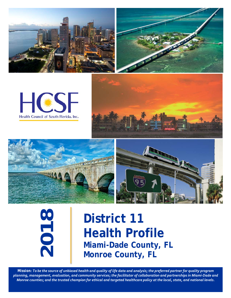







**20 8**

# **District 11 Health Profile Miami-Dade County, FL Monroe County, FL**

*Mission: To be the source of unbiased health and quality of life data and analysis; the preferred partner for quality program planning, management, evaluation, and community services; the facilitator of collaboration and partnerships in Miami-Dade and Monroe counties; and the trusted champion for ethical and targeted healthcare policy at the local, state, and national levels.*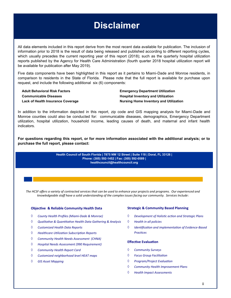# **Disclaimer**

All data elements included in this report derive from the most recent data available for publication. The inclusion of information prior to 2018 is the result of data being released and published according to different reporting cycles, which usually precedes the current reporting year of this report (2018); such as the quarterly hospital utilization reports published by the Agency for Health Care Administration (fourth quarter 2018 hospital utilization report will be available for publication after May 2019).

Five data components have been highlighted in this report as it pertains to Miami-Dade and Monroe residents, in comparison to residents in the State of Florida. Please note that the full report is available for purchase upon request, and include the following additional six (6) components:

**Communicable Diseases Hospital Inventory and Utilization**

**Adult Behavioral Risk Factors Emergency Department Utilization Lack of Health Insurance Coverage Nursing Home Inventory and Utilization**

In addition to the information depicted in this report, zip code and GIS mapping analysis for Miami-Dade and Monroe counties could also be conducted for: communicable diseases, demographics, Emergency Department utilization, hospital utilization, household income, leading causes of death, and maternal and infant health indicators.

**For questions regarding this report, or for more information associated with the additional analysis; or to purchase the full report, please contact:**

> **Health Council of South Florida | 7875 NW 12 Street | Suite 118 | Doral, FL 33126 | Phone: (305) 592-1452 | Fax: (305) 592-0589 | healthcouncil@healthcouncil.org**

*The HCSF offers a variety of contracted services that can be used to enhance your projects and programs. Our experienced and knowledgeable staff have a solid understanding of the complex issues facing our community. Services Include*:

#### **Objective & Reliable Community Health Data**

- *County Health Profiles (Miami-Dade & Monroe)*
- *Qualitative & Quantitative Health Data Gathering & Analysis*
- *Customized Health Data Reports*
- *Healthcare Utilization Subscription Reports*
- *Community Health Needs Assessment (CHNA)*
- *Hospital Needs Assessment (990 Requirement)*
- *Community Health Report Card*
- *Customized neighborhood level HEAT maps*
- *GIS Asset Mapping*

#### **Strategic & Community Based Planning**

- *Development of Holistic action and Strategic Plans*
- *Health in all policies*
- *Identification and implementation of Evidence-Based Practices*

#### **Effective Evaluation**

- *Community Surveys*
- *Focus Group Facilitation*
- *Program/Project Evaluation*
- *Community Health Improvement Plans*
- *Health Impact Assessments*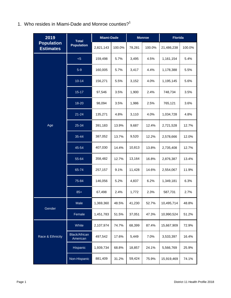1. Who resides in Miami-Dade and Monroe counties?<sup>1</sup>

| 2019                                  | <b>Total</b>                     | <b>Miami-Dade</b> |        | <b>Monroe</b> |        | <b>Florida</b> |        |
|---------------------------------------|----------------------------------|-------------------|--------|---------------|--------|----------------|--------|
| <b>Population</b><br><b>Estimates</b> | <b>Population</b>                | 2,821,143         | 100.0% | 78,281        | 100.0% | 21,486,238     | 100.0% |
|                                       | < 5                              | 159,498           | 5.7%   | 3,495         | 4.5%   | 1,161,154      | 5.4%   |
|                                       | $5-9$                            | 160,005           | 5.7%   | 3,417         | 4.4%   | 1,178,388      | 5.5%   |
|                                       | $10 - 14$                        | 156,271           | 5.5%   | 3,152         | 4.0%   | 1,195,145      | 5.6%   |
|                                       | $15 - 17$                        | 97,546            | 3.5%   | 1,900         | 2.4%   | 748,734        | 3.5%   |
|                                       | 18-20                            | 98,094            | 3.5%   | 1,986         | 2.5%   | 765,121        | 3.6%   |
|                                       | $21 - 24$                        | 135,271           | 4.8%   | 3,110         | 4.0%   | 1,034,728      | 4.8%   |
| Age                                   | 25-34                            | 391,183           | 13.9%  | 9,687         | 12.4%  | 2,721,528      | 12.7%  |
|                                       | 35-44                            | 387,052           | 13.7%  | 9,520         | 12.2%  | 2,578,666      | 12.0%  |
|                                       | 45-54                            | 407,030           | 14.4%  | 10,813        | 13.8%  | 2,735,408      | 12.7%  |
|                                       | 55-64                            | 358,482           | 12.7%  | 13,164        | 16.8%  | 2,876,387      | 13.4%  |
|                                       | 65-74                            | 257,157           | 9.1%   | 11,428        | 14.6%  | 2,554,067      | 11.9%  |
|                                       | 75-84                            | 146,056           | 5.2%   | 4,837         | 6.2%   | 1,349,181      | 6.3%   |
|                                       | $85+$                            | 67,498            | 2.4%   | 1,772         | 2.3%   | 587,731        | 2.7%   |
| Gender                                | Male                             | 1,369,360         | 48.5%  | 41,230        | 52.7%  | 10,495,714     | 48.8%  |
|                                       | Female                           | 1,451,783         | 51.5%  | 37,051        | 47.3%  | 10,990,524     | 51.2%  |
|                                       | White                            | 2,107,974         | 74.7%  | 68,399        | 87.4%  | 15,667,909     | 72.9%  |
| Race & Ethnicity                      | <b>Black/African</b><br>American | 497,542           | 17.6%  | 5,449         | 7.0%   | 3,533,397      | 16.4%  |
|                                       | Hispanic                         | 1,939,734         | 68.8%  | 18,857        | 24.1%  | 5,566,769      | 25.9%  |
|                                       | Non-Hispanic                     | 881,409           | 31.2%  | 59,424        | 75.9%  | 15,919,469     | 74.1%  |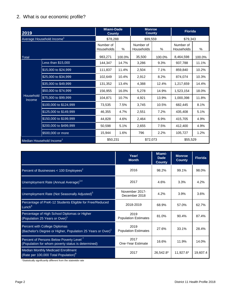## 2. What is our economic profile?

| 2019                                  |                        | <b>Miami-Dade</b><br><b>County</b> |        | <b>Monroe</b><br><b>County</b> |        | <b>Florida</b>          |        |
|---------------------------------------|------------------------|------------------------------------|--------|--------------------------------|--------|-------------------------|--------|
| Average Household Income <sup>1</sup> |                        | \$78,288                           |        | \$99,559                       |        | \$79,343                |        |
|                                       |                        | Number of<br>Households            | %      | Number of<br>Households        | %      | Number of<br>Households | %      |
| <b>Total</b>                          |                        | 983,271                            | 100.0% | 35,500                         | 100.0% | 8,464,598               | 100.0% |
|                                       | Less than \$15,000     | 144,347                            | 14.7%  | 3,286                          | 9.3%   | 937,788                 | 11.1%  |
|                                       | \$15,000 to \$24,999   | 111,837                            | 11.4%  | 2,504                          | 7.1%   | 859,840                 | 10.2%  |
|                                       | \$25,000 to \$34.999   | 102,649                            | 10.4%  | 2,912                          | 8.2%   | 874,074                 | 10.3%  |
| Household<br>Income                   | \$35,000 to \$49,999   | 131,352                            | 13.4%  | 4,388                          | 12.4%  | 1,217,659               | 14.4%  |
|                                       | \$50,000 to \$74,999   | 156,955                            | 16.0%  | 5,278                          | 14.9%  | 1,523,154               | 18.0%  |
|                                       | \$75,000 to \$99,999   | 104,871                            | 10.7%  | 4,921                          | 13.9%  | 1,000,398               | 11.8%  |
|                                       | \$100,000 to \$124,999 | 73,535                             | 7.5%   | 3,745                          | 10.5%  | 682,445                 | 8.1%   |
|                                       | \$125,000 to \$149,999 | 46,355                             | 4.7%   | 2,551                          | 7.2%   | 435,408                 | 5.1%   |
|                                       | \$150,000 to \$199,999 | 44,828                             | 4.6%   | 2,464                          | 6.9%   | 415,705                 | 4.9%   |
|                                       | \$200,000 to \$499,999 | 50,598                             | 5.1%   | 2,655                          | 7.5%   | 412,400                 | 4.9%   |
|                                       | \$500,000 or more      | 15,944                             | 1.6%   | 796                            | 2.2%   | 105,727                 | 1.2%   |
| Median Household Income <sup>1</sup>  |                        | \$50,231                           |        | \$72,073                       |        | \$55,529                |        |

|                                                                                                           | Year/<br><b>Month</b>               | Miami-<br><b>Dade</b><br><b>County</b> | <b>Monroe</b><br><b>County</b> | <b>Florida</b> |
|-----------------------------------------------------------------------------------------------------------|-------------------------------------|----------------------------------------|--------------------------------|----------------|
| Percent of Businesses $< 100$ Employees <sup>2</sup>                                                      | 2016                                | 98.2%                                  | 99.1%                          | 98.0%          |
| Unemployment Rate (Annual Average) <sup>3,4</sup>                                                         | 2017                                | 4.6%                                   | 3.3%                           | 4.2%           |
| Unemployment Rate (Not Seasonally Adjusted) <sup>5</sup>                                                  | November 2017-<br>December 2018     | 4.2%                                   | 3.9%                           | 3.6%           |
| Percentage of PreK-12 Students Eligible for Free/Reduced<br>Lunch <sup>6</sup>                            | 2018-2019                           | 68.9%                                  | 57.0%                          | 62.7%          |
| Percentage of High School Diplomas or Higher<br>(Population 25 Years or Over) <sup>1</sup>                | 2019<br><b>Population Estimates</b> | 81.0%                                  | 90.4%                          | 87.4%          |
| Percent with College Diplomas<br>(Bachelor's Degree or Higher, Population 25 Years or Over) <sup>1</sup>  | 2019<br><b>Population Estimates</b> | 27.6%                                  | 33.1%                          | 28.4%          |
| Percent of Persons Below Poverty Level <sup>7</sup><br>(Population for whom poverty status is determined) | 2017<br>One-Year Estimate           | 16.6%                                  | 11.9%                          | 14.0%          |
| <b>Median Monthly Medicaid Enrollment</b><br>(Rate per 100,000 Total Population) <sup>8</sup>             | 2017                                | 26,542.8*                              | 11,927.6*                      | 19,607.4       |

\*Statistically significantly different from the statewide rate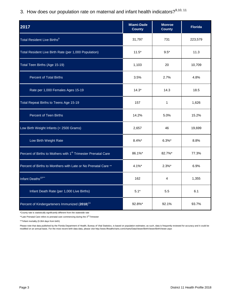3. How does our population rate on maternal and infant health indicators?<sup>9,10, 11</sup>

| 2017                                                                      | <b>Miami-Dade</b><br><b>County</b> | <b>Monroe</b><br><b>County</b> | <b>Florida</b> |
|---------------------------------------------------------------------------|------------------------------------|--------------------------------|----------------|
| Total Resident Live Births <sup>9</sup>                                   | 31,797                             | 731                            | 223,579        |
| Total Resident Live Birth Rate (per 1,000 Population)                     | $11.5*$                            | $9.5*$                         | 11.3           |
| Total Teen Births (Age 15-19)                                             | 1,103                              | 20                             | 10,709         |
| <b>Percent of Total Births</b>                                            | 3.5%                               | 2.7%                           | 4.8%           |
| Rate per 1,000 Females Ages 15-19                                         | $14.3*$                            | 14.3                           | 18.5           |
| Total Repeat Births to Teens Age 15-19                                    | 157                                | 1                              | 1,626          |
| Percent of Teen Births                                                    | 14.2%                              | 5.0%                           | 15.2%          |
| Low Birth Weight Infants (< 2500 Grams)                                   | 2,657                              | 46                             | 19,699         |
| Low Birth Weight Rate                                                     | 8.4%*                              | $6.3\%$ *                      | 8.8%           |
| Percent of Births to Mothers with 1 <sup>st</sup> Trimester Prenatal Care | 86.1%*                             | 82.7%*                         | 77.3%          |
| Percent of Births to Monthers with Late or No Prenatal Care **            | $4.1\%$ *                          | $2.3\%$ *                      | 6.9%           |
| Infant Deaths <sup>10***</sup>                                            | 162                                | 4                              | 1,355          |
| Infant Death Rate (per 1,000 Live Births)                                 | $5.1*$                             | 5.5                            | 6.1            |
| Percent of Kindergarteners Immunized (2018) <sup>11</sup>                 | 92.8%*                             | 92.1%                          | 93.7%          |

\*County rate is statistically significantly different from the statewide rate

\*\*Late Prenatal Care refers to prenatal care commencing during the 3<sup>rd</sup> Trimester

\*\*\*Infant mortality (0-364 days from birth)

Please note that data published by the Florida Department of Health, Bureau of Vital Statistics, is based on population estimates; as such, data is frequently reviewed for accuracy and it could be<br>modified on an annual bas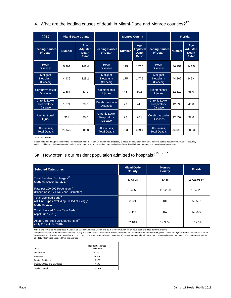4. What are the leading causes of death in Miami-Dade and Monroe counties? $12$ 

| 2017                                                  |               | <b>Miami-Dade County</b>                        |                                                       | <b>Monroe County</b> |                                                 |                                                              |               | <b>Florida</b>                                  |
|-------------------------------------------------------|---------------|-------------------------------------------------|-------------------------------------------------------|----------------------|-------------------------------------------------|--------------------------------------------------------------|---------------|-------------------------------------------------|
| <b>Leading Causes</b><br>of Death                     | <b>Number</b> | Age<br><b>Adjusted</b><br><b>Death</b><br>Rate* | <b>Leading Causes</b><br>of Death                     | <b>Number</b>        | Age<br><b>Adjusted</b><br><b>Death</b><br>Rate* | <b>Leading Causes</b><br>of Death                            | <b>Number</b> | Age<br><b>Adjusted</b><br><b>Death</b><br>Rate* |
| <b>Heart</b><br><b>Diseases</b>                       | 5.399         | 148.4                                           | $He$ art<br><b>Diseases</b>                           | 175                  | 147.5                                           | <b>Heart</b><br><b>Diseases</b>                              | 46,159        | 148.5                                           |
| Malignat<br>Neoplasm<br>(Cancer)                      | 4,436         | 128.2                                           | Malignat<br>Neoplasm<br>(Cancer)                      | 175                  | 147.5                                           | Malignat<br>Neoplasm<br>(Cancer)                             | 44,862        | 149.4                                           |
| Cerebrovascular<br><b>Diseases</b>                    | 1.587         | 43.1                                            | Unintentional<br><b>Injuries</b>                      | 45                   | 50.6                                            | Unintentional<br><b>Injuries</b>                             | 12.812        | 56.0                                            |
| Chronic Lower<br><b>Respiratory</b><br><b>Disease</b> | 1.074         | 29.6                                            | Cerebrovascular<br><b>Diseases</b>                    | 29                   | 24.8                                            | <b>Chronic Lower</b><br><b>Respiratory</b><br><b>Disease</b> | 12.590        | 40.0                                            |
| Unintentional<br><b>Injury</b>                        | 917           | 30.6                                            | <b>Chronic Lower</b><br>Respiratory<br><b>Disease</b> | 29                   | 26.4                                            | Cerebrovascular<br><b>Diseases</b>                           | 12,557        | 39.6                                            |
| All Causes,<br><b>Total Deaths</b>                    | 20,575        | 586.0                                           | All Causes.<br><b>Total Deaths</b>                    | 753                  | 669.4                                           | All Causes,<br><b>Total Deaths</b>                           | 203,353       | 688.3                                           |

\*Rate per 100,000

Please note that data published by the Florida Department of Health, Bureau of Vital Statistics, is based on population estimates; as such, data is frequently reviewed for accuracy<br>and it could be modified on an annual bas

# 5a. How often is our resident population admitted to hospitals?<sup>13, 14, 15</sup>

| <b>Selected Categories</b>                                                                         | <b>Miami-Dade</b><br><b>County</b> | <b>Monroe</b><br><b>County</b> | <b>Florida</b> |
|----------------------------------------------------------------------------------------------------|------------------------------------|--------------------------------|----------------|
| Total Resident Discharges <sup>13</sup><br>(January-December 2017)                                 | 337,698                            | 8,458                          | 2,721,964**    |
| Rate per 100,000 Population <sup>14</sup><br>(Based on 2017 Five-Year Estimates)                   | 12,495.3                           | 11,020.9                       | 13,422.9       |
| Total Licensed Beds <sup>15</sup><br>(All Unit Types excluding Skilled Nursing)*<br>(January 2019) | 9,191                              | 181                            | 63,692         |
| Total Licensed Acute Care Beds <sup>15</sup><br>(April-June 2018)                                  | 7,445                              | 157                            | 52,200         |
| Acute Care Beds Occupancy Rate <sup>15</sup><br>(July 2017-June 2018)                              | 52.10%                             | 19.90%                         | 57.77%         |

\*There are 37 Skilled Nursing Beds in District 11 (22 in Miami-Dade County and 15 in Monroe County) which have been excluded from the analysis<br>\*\*Figure represents Florida residents admitted to any hospital located in the S out-of-state, and those of unknown cities and zip codes . The table below highlights these four (4) patient groups and their respective discharges between January 1, 2017 through December 31, 2017 which were excluded from the analysis.

| 2017                         | <b>Florida Discharges</b><br><b>Excluded</b> |
|------------------------------|----------------------------------------------|
| Out-of-State                 | 87,537                                       |
| <b>Homeless</b>              | 20,316                                       |
| <b>Foreign Residence</b>     | 9,973                                        |
| Unknown Cities and Zip Codes | 7,195                                        |
| <b>Total Excluded</b>        | 125,021                                      |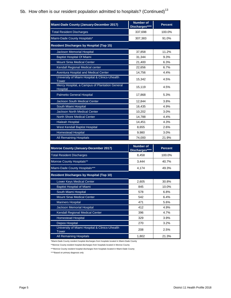## 5b. How often is our resident population admitted to hospitals? (Continued) $^{13}$

| Miami-Dade County (January-December 2017)                         | <b>Number of</b><br>Discharges**** | <b>Percent</b> |
|-------------------------------------------------------------------|------------------------------------|----------------|
| <b>Total Resident Discharges</b>                                  | 337,698                            | 100.0%         |
| Miami-Dade County Hospitals*                                      | 307,383                            | 91.0%          |
| <b>Resident Discharges by Hospital (Top 15)</b>                   |                                    |                |
| Jackson Memorial Hospital                                         | 37,858                             | 11.2%          |
| <b>Baptist Hospital Of Miami</b>                                  | 31,344                             | 9.3%           |
| <b>Mount Sinia Medical Center</b>                                 | 21,400                             | 6.3%           |
| Kendall Regional Medical center                                   | 22,656                             | 6.7%           |
| <b>Aventura Hospital and Medical Center</b>                       | 14,756                             | 4.4%           |
| University of Miami Hospital & Clinics-Uhealth<br><b>Tower</b>    | 15,342                             | 4.5%           |
| Mercy Hospital, a Campus of Plantation General<br><b>Hospital</b> | 15,119                             | 4.5%           |
| <b>Palmetto General Hospital</b>                                  | 17,868                             | 5.3%           |
| <b>Jackson South Medical Center</b>                               | 12,844                             | 3.8%           |
| South Miami Hospital                                              | 16,435                             | 4.9%           |
| <b>Jackson North Medical Center</b>                               | 10,202                             | 3.0%           |
| <b>North Shore Medical Center</b>                                 | 14,788                             | 4.4%           |
| <b>Hialeah Hospital</b>                                           | 14,451                             | 4.3%           |
| West Kendall Baptist Hospital                                     | 8,655                              | 2.6%           |
| <b>Homestead Hospital</b>                                         | 9,980                              | 3.0%           |
| <b>All Remaining Hospitals</b>                                    | 74,000                             | 21.9%          |
| Monroe County (January-December 2017)                             | <b>Number of</b>                   | <b>Percent</b> |

| <b>Monroe County (January-December 2017)</b>            | Number of<br>Discharges**** | <b>Percent</b> |
|---------------------------------------------------------|-----------------------------|----------------|
| <b>Total Resident Discharges</b>                        | 8,458                       | 100.0%         |
| Monroe County Hospitals**                               | 3,444                       | 40.7%          |
| Miami-Dade County Hospitals***                          | 4,174                       | 49.3%          |
| <b>Resident Discharges by Hospital (Top 10)</b>         |                             |                |
| <b>Lower Keys Medical Center</b>                        | 2,605                       | 30.8%          |
| <b>Baptist Hospital of Miami</b>                        | 845                         | 10.0%          |
| South Miami Hospital                                    | 578                         | 6.8%           |
| <b>Mount Sinai Medical Center</b>                       | 542                         | 6.4%           |
| <b>Mariners Hospital</b>                                | 471                         | 5.6%           |
| <b>Jackson Memorial Hospital</b>                        | 412                         | 4.9%           |
| <b>Kendall Regional Medical Center</b>                  | 396                         | 4.7%           |
| <b>Homestead Hospital</b>                               | 329                         | 3.9%           |
| Depoo Hospital                                          | 270                         | 3.2%           |
| University of Miami Hospital & Clinics-Uhealth<br>Tower | 208                         | 2.5%           |
| All Remaining Hospitals                                 | 1,802                       | 21.3%          |

\*Miami-Dade County resident hospital discharges from hospitals located in Miami-Dade County

\*\*Monroe County resident hospital discharges from hospitals located in Monroe County

\*\*\*Monroe County resident hospital discharges from hospitals located in Miami-Dade County

\*\*\*\*Based on primary diagnosis only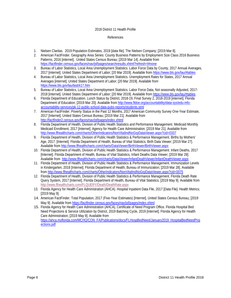#### 2018 District 11 Health Profile

#### References

- 1. Nielsen Claritas. 2019 Population Estimates, 2019 [data file]. The Nielsen Company; [2019 Mar 8].
- 2. American FactFinder. Geography Area Series: County Business Patterns by Employment Size Class 2016 Business Patterns, 2016 [internet]. United States Census Bureau; [2019 Mar 14]. Available from <https://factfinder.census.gov/faces/nav/jsf/pages/searchresults.xhtml?refresh=t#none>
- 3. Bureau of Labor Statistics, Local Area Unemployment Statistics. Labor Force Data by County, 2017 Annual Averages, 2017 [internet]. United States Department of Labor; [20 Mar 2019]. Available fro[m https://www.bls.gov/lau/#tables](https://www.bls.gov/lau/#tables)
- 4. Bureau of Labor Statistics, Local Area Unemployment Statistics. Unemployment Rates for States, 2017 Annual Averages [internet]. United States Department of Labor; [20 Mar 2019]. Available from <https://www.bls.gov/lau/lastrk17.htm>
- 5. Bureau of Labor Statistics, Local Area Unemployment Statistics. Labor Force Data, Not seasonally Adjusted, 2017- 2018 [internet]. United States Department of Labor; [20 Mar 2019]. Available fro[m https://www.bls.gov/lau/#tables](https://www.bls.gov/lau/#tables)
- 6. Florida Department of Education. Lunch Status by District, 2018-19, Final Survey 2, 2018-2019 [internet]. Florida Department of Education; [2019 Mar 20]. Available fro[m http://www.fldoe.org/accountability/data-sys/edu-info](http://www.fldoe.org/accountability/data-sys/edu-info-accountability-services/pk-12-public-school-data-pubs-reports/students.stml)[accountability-services/pk-12-public-school-data-pubs-reports/students.stml](http://www.fldoe.org/accountability/data-sys/edu-info-accountability-services/pk-12-public-school-data-pubs-reports/students.stml)
- 7. American FactFinder. Poverty Status in the Past 12 Months, 2017 American Community Survey One-Year Estimate, 2017 [Internet]. United States Census Bureau; [2019 Mar 21]. Available from <http://factfinder2.census.gov/faces/nav/jsf/pages/index.xhtml>
- 8. Florida Department of Health, Division of Public Health Statistics and Performance Management. Medicaid Monthly Medicaid Enrollment, 2017 [Internet]. Agency for Health Care Administration; [2019 Mar 21]. Available from <http://www.flhealthcharts.com/charts/OtherIndicators/NonVitalIndNoGrpDataViewer.aspx?cid=0337>
- 9. Florida Department of Health, Division of Public Health Statistics & Performance Management. Births by Mothers' Age, 2017. [Internet]. Florida Department of Health, Bureau of Vital Statistics, Birth Data Viewer; [2019 Mar 27]. Available from<http://www.flhealthcharts.com/charts/DataViewer/BirthViewer/BirthViewer.aspx>
- 10. Florida Department of Health, Division of Public Health Statistics & Performance Management. Infant Deaths, 2017 [Internet]. Florida Department of Health, Bureau of Vital Statistics, Infant Deaths Data Viewer; [2019 Mar 28]. Available from<http://www.flhealthcharts.com/charts/DataViewer/InfantDeathViewer/InfantDeathViewer.aspx>
- 11. Florida Department of Health, Division of Public Health Statistics & Performance Management. Immunization Levels in Kindergarten, 2018 [Internet]. Florida Department of Health, Bureau of Immunization; [2019 Mar 28]. Available fro[m http://www.flhealthcharts.com/charts/OtherIndicators/NonVitalIndNoGrpDataViewer.aspx?cid=0075](http://www.flhealthcharts.com/charts/OtherIndicators/NonVitalIndNoGrpDataViewer.aspx?cid=0075)
- 12. Florida Department of Health, Division of Public Health Statistics & Performance Management. Florida Death Rate Query System, 2017 [Internet]. Florida Department of Health, Bureau of Vital Statistics; [2019 May 9]. Available from <http://www.flhealthcharts.com/FLQUERY/Death/DeathRate.aspx>
- 13. Florida Agency for Health Care Administration (AHCA). Hospital Inpatient Data File, 2017 [Data File]. Health Metrics; [2019 May 9].
- 14. American FactFinder. Total Population, 2017 (Five-Year Estimates) [Internet]. United States Census Bureau; [2019 May 9]. Available fro[m https://factfinder.census.gov/faces/nav/jsf/pages/index.xhtml](https://factfinder.census.gov/faces/nav/jsf/pages/index.xhtml)
- 15. Florida Agency for Health Care Administration (AHCA), Certificate of Need Program Office. Florida Hospital Bed Need Projections & Service Utilization by District, 2019 Batching Cycle, 2019 [Internet]. Florida Agency for Health Care Administration; [2019 May 9]. Available from [https://ahca.myflorida.com/MCHQ/CON\\_FA/Publications/docs/FLHospBedNeed/January2019\\_HospitalBedNeedProj](https://ahca.myflorida.com/MCHQ/CON_FA/Publications/docs/FLHospBedNeed/January2019_HospitalBedNeedProjections.pdf) [ections.pdf](https://ahca.myflorida.com/MCHQ/CON_FA/Publications/docs/FLHospBedNeed/January2019_HospitalBedNeedProjections.pdf)